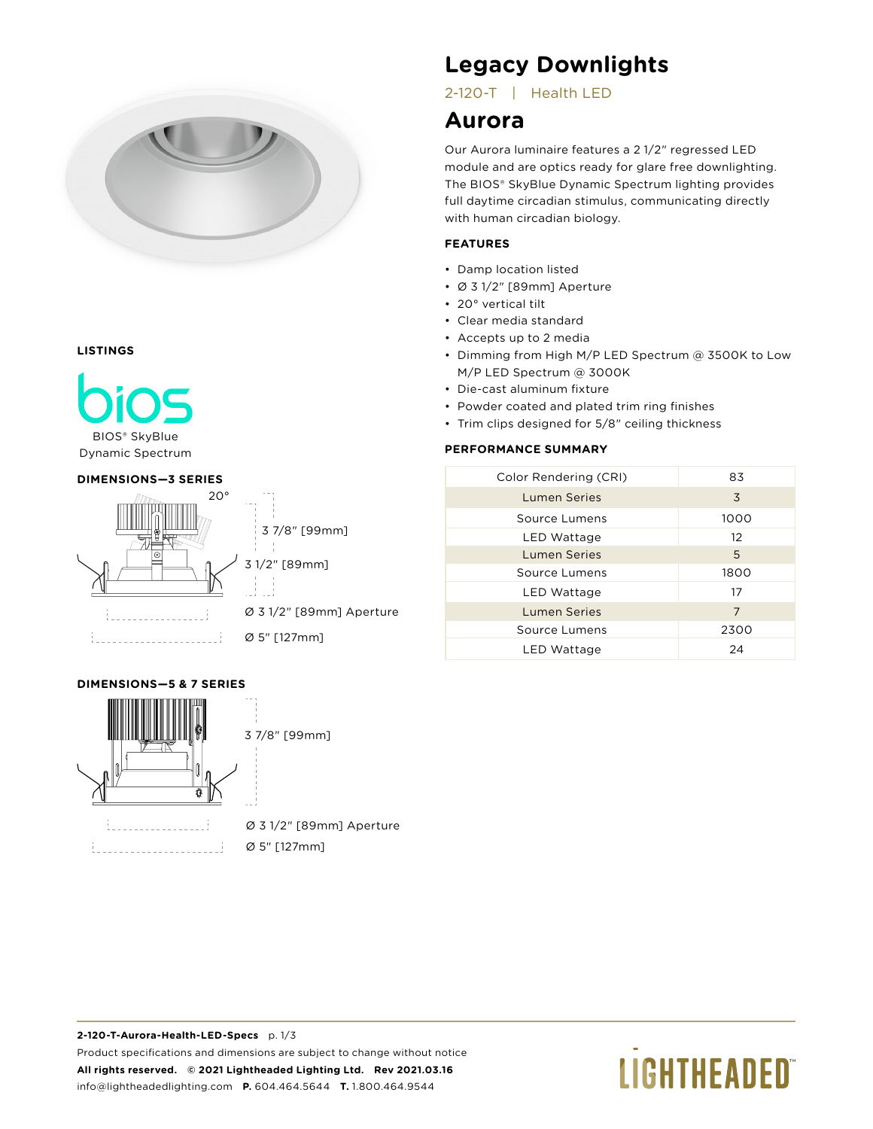

#### **LISTINGS**



BIOS® SkyBlue Dynamic Spectrum

#### **DIMENSIONS—3 SERIES**



#### **DIMENSIONS—5 & 7 SERIES**



<u> 1999 - Johann Barnett, mars e</u>

### Ø 3 1/2" [89mm] Aperture Ø 5" [127mm]

# **Legacy Downlights**

2-120-T | Health LED

# **Aurora**

Our Aurora luminaire features a 2 1/2" regressed LED module and are optics ready for glare free downlighting. The BIOS® SkyBlue Dynamic Spectrum lighting provides full daytime circadian stimulus, communicating directly with human circadian biology.

## **FEATURES**

- Damp location listed
- Ø 3 1/2" [89mm] Aperture
- 20° vertical tilt
- Clear media standard
- Accepts up to 2 media
- Dimming from High M/P LED Spectrum @ 3500K to Low M/P LED Spectrum @ 3000K
- Die-cast aluminum fixture
- Powder coated and plated trim ring finishes
- Trim clips designed for 5/8" ceiling thickness

## **PERFORMANCE SUMMARY**

| Color Rendering (CRI) | 83   |  |  |
|-----------------------|------|--|--|
| Lumen Series          | 3    |  |  |
| Source Lumens         | 1000 |  |  |
| LED Wattage           | 12   |  |  |
| <b>Lumen Series</b>   | 5    |  |  |
| Source Lumens         | 1800 |  |  |
| LED Wattage           | 17   |  |  |
| <b>Lumen Series</b>   | 7    |  |  |
| Source Lumens         | 2300 |  |  |
| LED Wattage           | 24   |  |  |
|                       |      |  |  |

# **LIGHTHEADED**®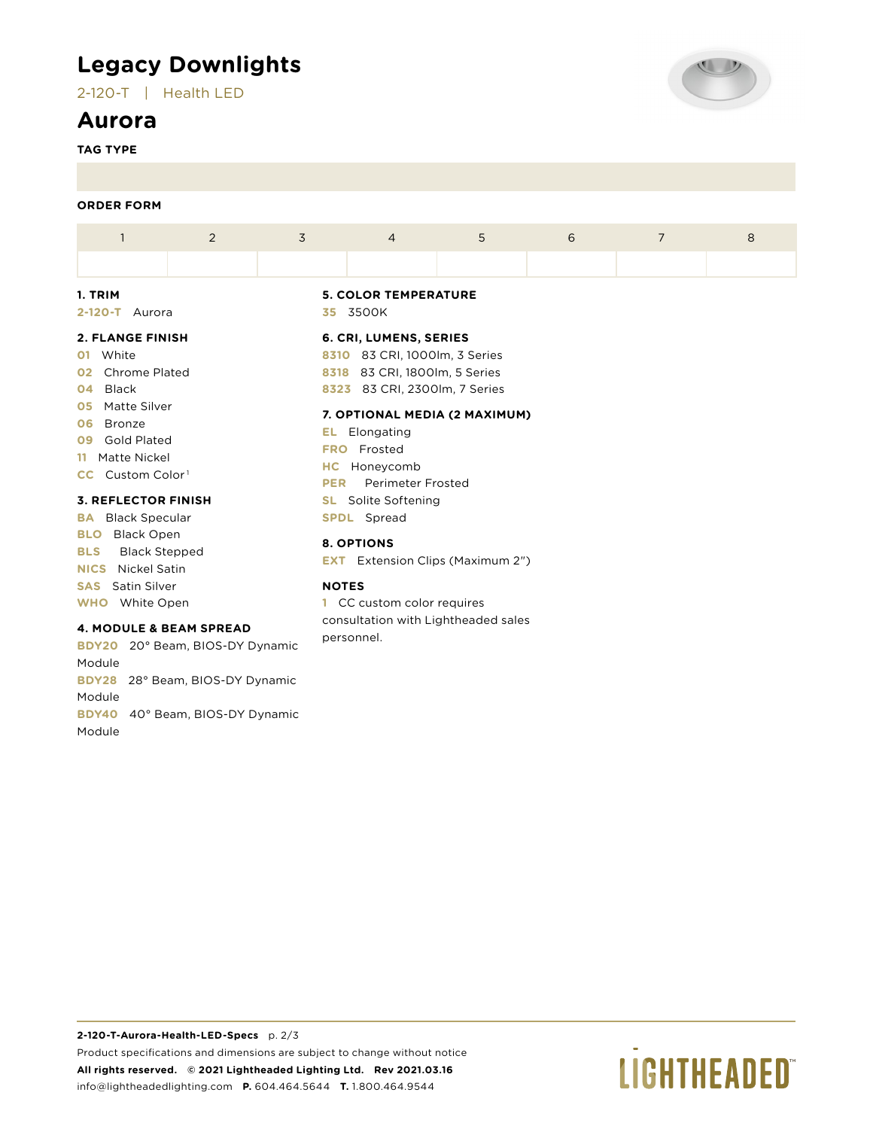# **Legacy Downlights**

2-120-T | Health LED

## **Aurora**

**TAG TYPE**



#### **ORDER FORM**

| A PLAMAR PINIAU |  |  | C. COL. LUMENC, CEOLES      |                |   |  |   |  |  |  |
|-----------------|--|--|-----------------------------|----------------|---|--|---|--|--|--|
| 2-120-T Aurora  |  |  | 35 3500K                    |                |   |  |   |  |  |  |
| 1. TRIM         |  |  | <b>5. COLOR TEMPERATURE</b> |                |   |  |   |  |  |  |
|                 |  |  |                             |                |   |  |   |  |  |  |
|                 |  |  | $\overline{4}$              | $\overline{5}$ | 6 |  | 8 |  |  |  |

#### **2. FLANGE FINISH**

**01** White

- **02** Chrome Plated
- **04** Black
- **05** Matte Silver
- **06** Bronze
- **09** Gold Plated
- **11** Matte Nickel
- **CC** Custom Color<sup>1</sup>

#### **3. REFLECTOR FINISH**

**BA** Black Specular **BLO** Black Open **BLS** Black Stepped **NICS** Nickel Satin **SAS** Satin Silver **WHO** White Open

#### **4. MODULE & BEAM SPREAD**

**BDY20** 20° Beam, BIOS-DY Dynamic Module **BDY28** 28° Beam, BIOS-DY Dynamic Module **BDY40** 40° Beam, BIOS-DY Dynamic Module

#### **6. CRI, LUMENS, SERIES**

**8310** 83 CRI, 1000lm, 3 Series **8318** 83 CRI, 1800lm, 5 Series **8323** 83 CRI, 2300lm, 7 Series

#### **7. OPTIONAL MEDIA (2 MAXIMUM)**

**EL** Elongating **FRO** Frosted **HC** Honeycomb **PER** Perimeter Frosted **SL** Solite Softening **SPDL** Spread

#### **8. OPTIONS**

**EXT** Extension Clips (Maximum 2")

#### **NOTES**

**1** CC custom color requires consultation with Lightheaded sales personnel.

# **LIGHTHEADED**®